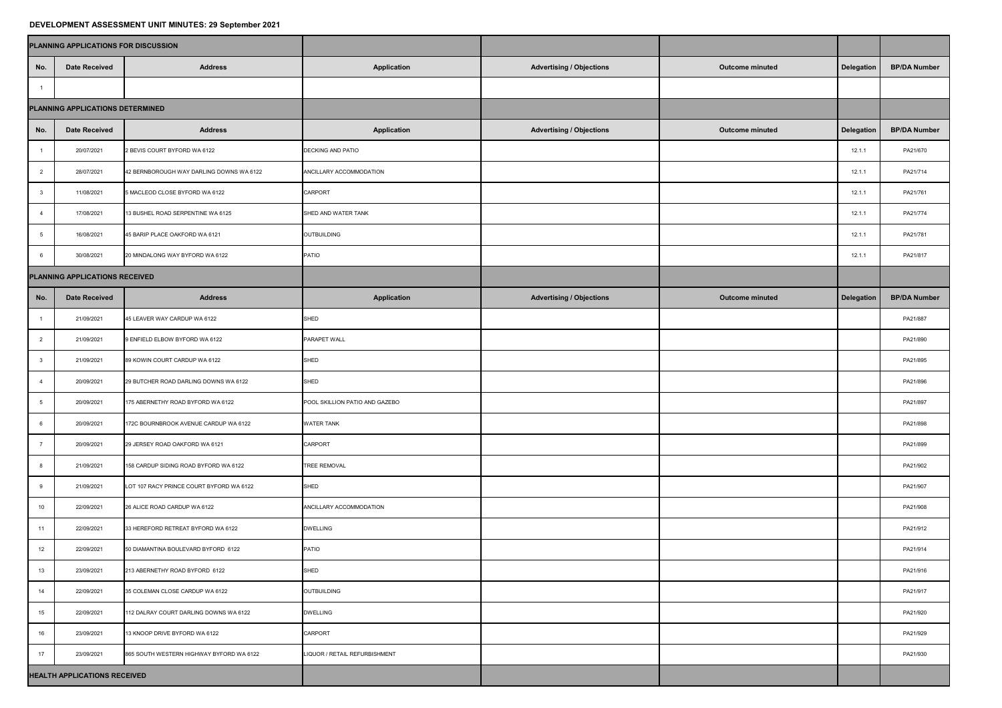## **DEVELOPMENT ASSESSMENT UNIT MINUTES: 29 September 2021**

|                                  | PLANNING APPLICATIONS FOR DISCUSSION |                                          |                                |                                 |                        |            |                     |
|----------------------------------|--------------------------------------|------------------------------------------|--------------------------------|---------------------------------|------------------------|------------|---------------------|
| No.                              | <b>Date Received</b>                 | <b>Address</b>                           | <b>Application</b>             | <b>Advertising / Objections</b> | <b>Outcome minuted</b> | Delegation | <b>BP/DA Number</b> |
|                                  |                                      |                                          |                                |                                 |                        |            |                     |
| PLANNING APPLICATIONS DETERMINED |                                      |                                          |                                |                                 |                        |            |                     |
| No.                              | <b>Date Received</b>                 | <b>Address</b>                           | <b>Application</b>             | <b>Advertising / Objections</b> | <b>Outcome minuted</b> | Delegation | <b>BP/DA Number</b> |
|                                  | 20/07/2021                           | 2 BEVIS COURT BYFORD WA 6122             | <b>DECKING AND PATIO</b>       |                                 |                        | 12.1.1     | PA21/670            |
| $\overline{2}$                   | 28/07/2021                           | 42 BERNBOROUGH WAY DARLING DOWNS WA 6122 | ANCILLARY ACCOMMODATION        |                                 |                        | 12.1.1     | PA21/714            |
| - 3                              | 11/08/2021                           | 5 MACLEOD CLOSE BYFORD WA 6122           | <b>CARPORT</b>                 |                                 |                        | 12.1.1     | PA21/761            |
|                                  | 17/08/2021                           | 13 BUSHEL ROAD SERPENTINE WA 6125        | SHED AND WATER TANK            |                                 |                        | 12.1.1     | PA21/774            |
|                                  | 16/08/2021                           | 45 BARIP PLACE OAKFORD WA 6121           | OUTBUILDING                    |                                 |                        | 12.1.1     | PA21/781            |
| -6                               | 30/08/2021                           | 20 MINDALONG WAY BYFORD WA 6122          | <b>PATIO</b>                   |                                 |                        | 12.1.1     | PA21/817            |
|                                  | PLANNING APPLICATIONS RECEIVED       |                                          |                                |                                 |                        |            |                     |
| No.                              | <b>Date Received</b>                 | <b>Address</b>                           | <b>Application</b>             | <b>Advertising / Objections</b> | <b>Outcome minuted</b> | Delegation | <b>BP/DA Number</b> |
|                                  | 21/09/2021                           | 45 LEAVER WAY CARDUP WA 6122             | SHED                           |                                 |                        |            | PA21/887            |
| $\overline{2}$                   | 21/09/2021                           | 9 ENFIELD ELBOW BYFORD WA 6122           | <b>PARAPET WALL</b>            |                                 |                        |            | PA21/890            |
| - 3                              | 21/09/2021                           | 89 KOWIN COURT CARDUP WA 6122            | SHED                           |                                 |                        |            | PA21/895            |
| - 4                              | 20/09/2021                           | 29 BUTCHER ROAD DARLING DOWNS WA 6122    | SHED                           |                                 |                        |            | PA21/896            |
|                                  | 20/09/2021                           | 175 ABERNETHY ROAD BYFORD WA 6122        | POOL SKILLION PATIO AND GAZEBO |                                 |                        |            | PA21/897            |
|                                  | 20/09/2021                           | 172C BOURNBROOK AVENUE CARDUP WA 6122    | <b>WATER TANK</b>              |                                 |                        |            | PA21/898            |
|                                  | 20/09/2021                           | 29 JERSEY ROAD OAKFORD WA 6121           | <b>CARPORT</b>                 |                                 |                        |            | PA21/899            |
|                                  | 21/09/2021                           | 158 CARDUP SIDING ROAD BYFORD WA 6122    | <b>TREE REMOVAL</b>            |                                 |                        |            | PA21/902            |
|                                  | 21/09/2021                           | LOT 107 RACY PRINCE COURT BYFORD WA 6122 | SHED                           |                                 |                        |            | PA21/907            |
| 10                               | 22/09/2021                           | 26 ALICE ROAD CARDUP WA 6122             | ANCILLARY ACCOMMODATION        |                                 |                        |            | PA21/908            |
| 11                               | 22/09/2021                           | 33 HEREFORD RETREAT BYFORD WA 6122       | <b>DWELLING</b>                |                                 |                        |            | PA21/912            |
| 12                               | 22/09/2021                           | 50 DIAMANTINA BOULEVARD BYFORD 6122      | <b>PATIO</b>                   |                                 |                        |            | PA21/914            |
| 13                               | 23/09/2021                           | 213 ABERNETHY ROAD BYFORD 6122           | SHED                           |                                 |                        |            | PA21/916            |
| 14                               | 22/09/2021                           | 35 COLEMAN CLOSE CARDUP WA 6122          | OUTBUILDING                    |                                 |                        |            | PA21/917            |
| 15                               | 22/09/2021                           | 112 DALRAY COURT DARLING DOWNS WA 6122   | <b>DWELLING</b>                |                                 |                        |            | PA21/920            |
| 16                               | 23/09/2021                           | 13 KNOOP DRIVE BYFORD WA 6122            | <b>CARPORT</b>                 |                                 |                        |            | PA21/929            |
| 17                               | 23/09/2021                           | 865 SOUTH WESTERN HIGHWAY BYFORD WA 6122 | LIQUOR / RETAIL REFURBISHMENT  |                                 |                        |            | PA21/930            |
|                                  | <b>HEALTH APPLICATIONS RECEIVED</b>  |                                          |                                |                                 |                        |            |                     |